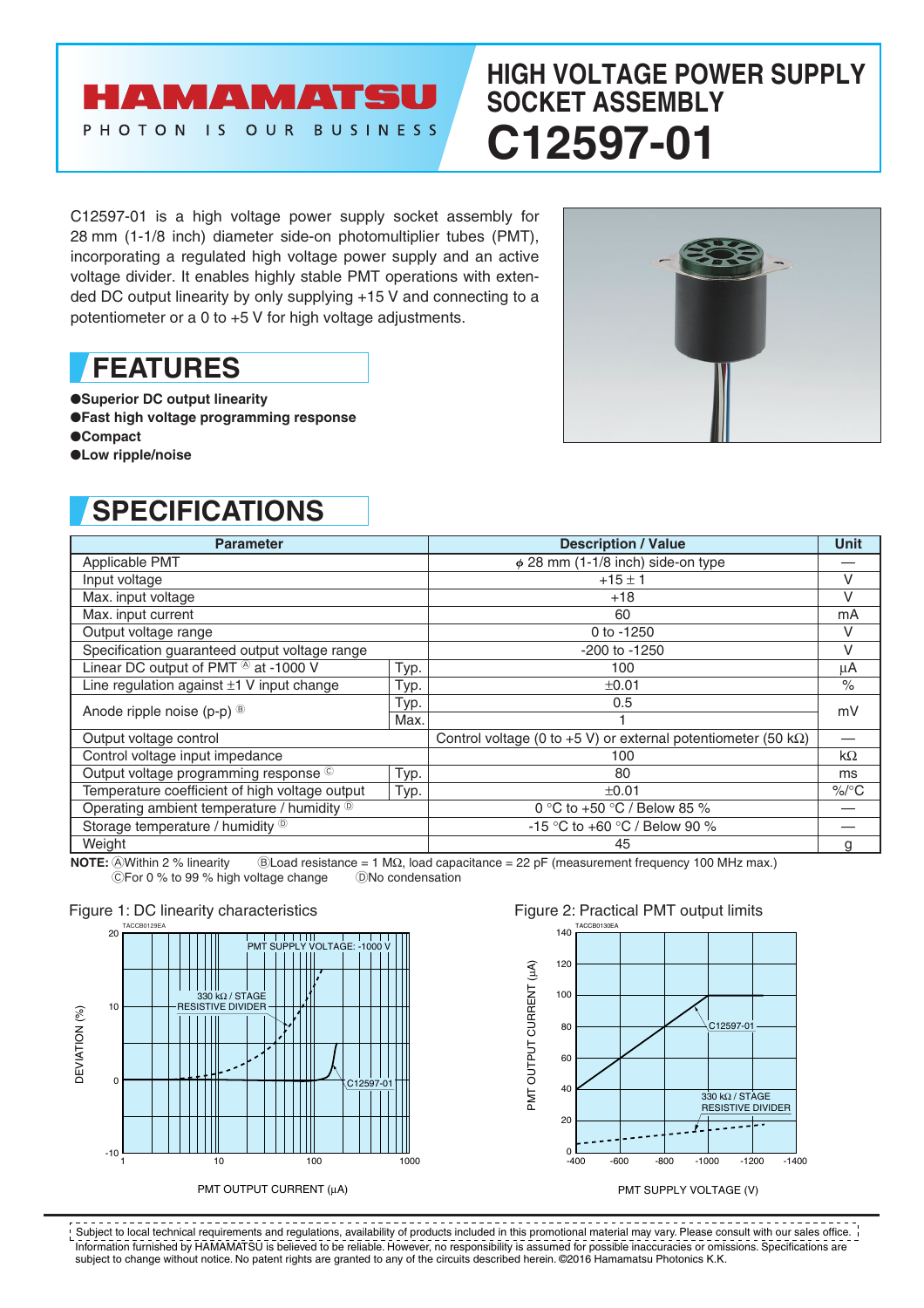# **HIGH VOLTAGE POWER SUPPLY SOCKET ASSEMBLY C12597-01**

C12597-01 is a high voltage power supply socket assembly for 28 mm (1-1/8 inch) diameter side-on photomultiplier tubes (PMT), incorporating a regulated high voltage power supply and an active voltage divider. It enables highly stable PMT operations with extended DC output linearity by only supplying +15 V and connecting to a potentiometer or a 0 to +5 V for high voltage adjustments.

**AMAMATSU** 

PHOTON IS OUR BUSINESS

## **FEATURES**

- ●**Superior DC output linearity**
- ●**Fast high voltage programming response**
- ●**Compact**
- ●**Low ripple/noise**

## **SPECIFICATIONS**

| <b>Parameter</b>                                      |      | <b>Description / Value</b>                                             | <b>Unit</b> |
|-------------------------------------------------------|------|------------------------------------------------------------------------|-------------|
| Applicable PMT                                        |      | $\phi$ 28 mm (1-1/8 inch) side-on type                                 |             |
| Input voltage                                         |      | $+15 \pm 1$                                                            | V           |
| Max. input voltage                                    |      | $+18$                                                                  | $\vee$      |
| Max. input current                                    |      | 60                                                                     | mA          |
| Output voltage range                                  |      | 0 to -1250                                                             | V           |
| Specification guaranteed output voltage range         |      | -200 to -1250                                                          | V           |
| Linear DC output of PMT ® at -1000 V                  | Typ. | 100                                                                    | μA          |
| Line regulation against $\pm 1$ V input change        | Typ. | ±0.01                                                                  | $\%$        |
| Anode ripple noise (p-p) <sup>®</sup>                 | Typ. | 0.5                                                                    | mV          |
|                                                       | Max. |                                                                        |             |
| Output voltage control                                |      | Control voltage (0 to +5 V) or external potentiometer (50 k $\Omega$ ) |             |
| Control voltage input impedance                       |      | 100                                                                    | $k\Omega$   |
| Output voltage programming response ©                 | Typ. | 80                                                                     | ms          |
| Temperature coefficient of high voltage output        | Typ. | ±0.01                                                                  | $\%$ /°C    |
| Operating ambient temperature / humidity <sup>®</sup> |      | 0 °C to +50 °C / Below 85 %                                            |             |
| Storage temperature / humidity <sup>®</sup>           |      | -15 °C to +60 °C / Below 90 %                                          |             |
| Weight                                                |      | 45                                                                     | g           |

**NOTE:** @Within 2 % linearity <br>
©For 0 % to 99 % high voltage change <br>
©No condensation<br>
©No condensation CFor 0 % to 99 % high voltage change



PMT OUTPUT CURRENT (µA)

### Figure 1: DC linearity characteristics Figure 2: Practical PMT output limits



#### PMT SUPPLY VOLTAGE (V)

Information furnished by HAMAMATSU is believed to be reliable. However, no responsibility is assumed for possible inaccuracies or omissions. Specifications are subject to change without notice. No patent rights are granted to any of the circuits described herein. ©2016 Hamamatsu Photonics K.K. PERTHENT PERTHENT PERTHENT PERTHENT CONTROLLED THE PROVIDED TO A PERTHENT CONTROLLED THE PROVIDED TO A PROVIDI<br>Subject to local technical requirements and regulations, availability of products included in this promotional